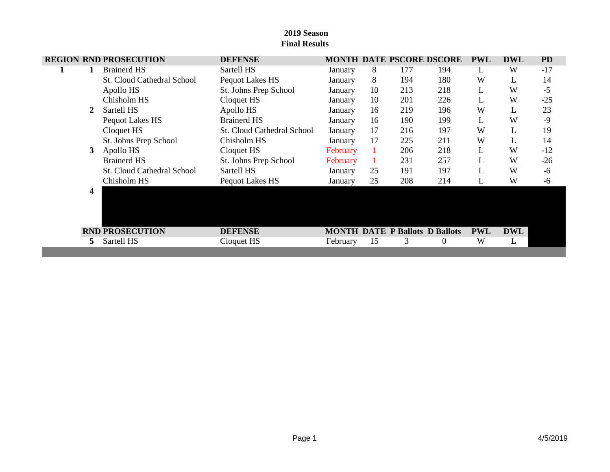# **REGION RND PROSECUTION DEFENSE MONTH DATE PSCORE DSCORE PWL DWL PD 1 1** Brainerd HS Sartell HS January 8 177 194 L W -17 St. Cloud Cathedral School Pequot Lakes HS January 8 194 180 W L 14 Apollo HS St. Johns Prep School January 10 213 218 L W -5 Chisholm HS Cloquet HS January 10 201 226 L W -25 **2** Sartell HS Apollo HS January 16 219 196 W L 23 Pequot Lakes HS Brainerd HS January 16 190 199 L W -9 Cloquet HS St. Cloud Cathedral School January 17 216 197 W L 19 St. Johns Prep School Chisholm HS January 17 225 211 W L 14 **3** Apollo HS Cloquet HS February 1 206 218 L W -12 Brainerd HS St. Johns Prep School February 1 231 257 L W -26 St. Cloud Cathedral School Sartell HS January 25 191 197 L W -6 Chisholm HS Pequot Lakes HS January 25 208 214 L W -6  $4$ **RND PROSECUTION DEFENSE MONTH** DATE **P** Ballots **D** Ballots **PWL** DWL 5 Sartell HS Cloquet HS February 15 3 0 W L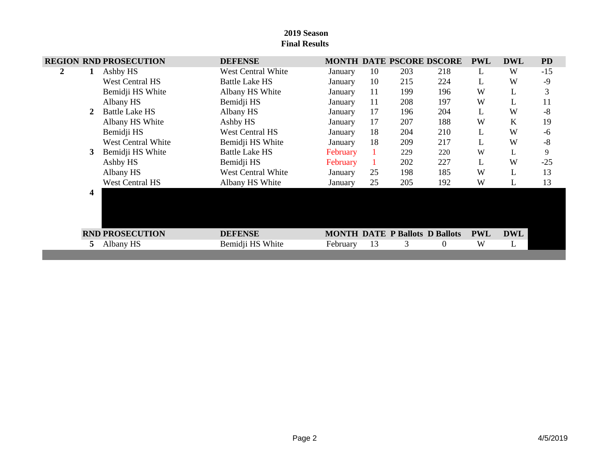|   |   | <b>REGION RND PROSECUTION</b> | <b>DEFENSE</b>            |          |              |                                       | <b>MONTH DATE PSCORE DSCORE</b> | <b>PWL</b>   | <b>DWL</b> | <b>PD</b> |
|---|---|-------------------------------|---------------------------|----------|--------------|---------------------------------------|---------------------------------|--------------|------------|-----------|
| 2 |   | Ashby HS                      | West Central White        | January  | 10           | 203                                   | 218                             | L            | W          | $-15$     |
|   |   | <b>West Central HS</b>        | <b>Battle Lake HS</b>     | January  | 10           | 215                                   | 224                             | L            | W          | $-9$      |
|   |   | Bemidji HS White              | Albany HS White           | January  | 11           | 199                                   | 196                             | W            | L          | 3         |
|   |   | Albany HS                     | Bemidji HS                | January  | 11           | 208                                   | 197                             | W            | L          | 11        |
|   |   | <b>Battle Lake HS</b>         | Albany HS                 | January  | 17           | 196                                   | 204                             | L            | W          | $-8$      |
|   |   | Albany HS White               | Ashby HS                  | January  | 17           | 207                                   | 188                             | W            | K          | 19        |
|   |   | Bemidji HS                    | <b>West Central HS</b>    | January  | 18           | 204                                   | 210                             | $\mathbf{L}$ | W          | $-6$      |
|   |   | <b>West Central White</b>     | Bemidji HS White          | January  | 18           | 209                                   | 217                             | L            | W          | $-8$      |
|   | 3 | Bemidji HS White              | <b>Battle Lake HS</b>     | February | $\mathbf{1}$ | 229                                   | 220                             | W            | L          | 9         |
|   |   | Ashby HS                      | Bemidji HS                | February | $\mathbf{1}$ | 202                                   | 227                             | L            | W          | $-25$     |
|   |   | Albany HS                     | <b>West Central White</b> | January  | 25           | 198                                   | 185                             | W            | L          | 13        |
|   |   | <b>West Central HS</b>        | Albany HS White           | January  | 25           | 205                                   | 192                             | W            | L          | 13        |
|   | 4 |                               |                           |          |              |                                       |                                 |              |            |           |
|   |   | <b>RND PROSECUTION</b>        | <b>DEFENSE</b>            |          |              | <b>MONTH DATE P Ballots D Ballots</b> |                                 | <b>PWL</b>   | <b>DWL</b> |           |
|   |   | Albany HS                     | Bemidji HS White          | February | 13           | 3                                     | $\mathbf{0}$                    | W            | L          |           |
|   |   |                               |                           |          |              |                                       |                                 |              |            |           |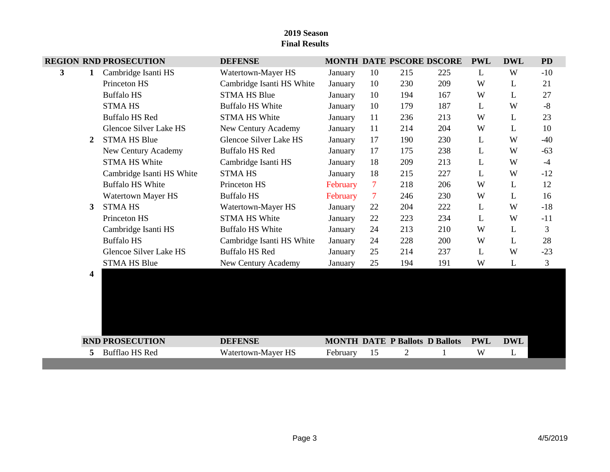|   |    | <b>REGION RND PROSECUTION</b> | <b>DEFENSE</b>            |          |                |     | MONTH DATE PSCORE DSCORE              | <b>PWL</b>  | <b>DWL</b> | <b>PD</b> |
|---|----|-------------------------------|---------------------------|----------|----------------|-----|---------------------------------------|-------------|------------|-----------|
| 3 | 1  | Cambridge Isanti HS           | Watertown-Mayer HS        | January  | 10             | 215 | 225                                   | L           | W          | $-10$     |
|   |    | Princeton HS                  | Cambridge Isanti HS White | January  | 10             | 230 | 209                                   | W           | L          | 21        |
|   |    | <b>Buffalo HS</b>             | <b>STMA HS Blue</b>       | January  | 10             | 194 | 167                                   | W           | L          | 27        |
|   |    | <b>STMA HS</b>                | <b>Buffalo HS White</b>   | January  | 10             | 179 | 187                                   | L           | W          | $-8$      |
|   |    | <b>Buffalo HS Red</b>         | <b>STMA HS White</b>      | January  | 11             | 236 | 213                                   | W           | L          | 23        |
|   |    | <b>Glencoe Silver Lake HS</b> | New Century Academy       | January  | 11             | 214 | 204                                   | W           | L          | 10        |
|   | 2  | <b>STMA HS Blue</b>           | Glencoe Silver Lake HS    | January  | 17             | 190 | 230                                   | L           | W          | $-40$     |
|   |    | New Century Academy           | <b>Buffalo HS Red</b>     | January  | 17             | 175 | 238                                   | L           | W          | $-63$     |
|   |    | <b>STMA HS White</b>          | Cambridge Isanti HS       | January  | 18             | 209 | 213                                   | L           | W          | $-4$      |
|   |    | Cambridge Isanti HS White     | <b>STMA HS</b>            | January  | 18             | 215 | 227                                   | L           | W          | $-12$     |
|   |    | <b>Buffalo HS White</b>       | Princeton HS              | February | $\overline{7}$ | 218 | 206                                   | W           | L          | 12        |
|   |    | Watertown Mayer HS            | <b>Buffalo HS</b>         | February | $\overline{7}$ | 246 | 230                                   | W           | L          | 16        |
|   | 3  | <b>STMA HS</b>                | Watertown-Mayer HS        | January  | 22             | 204 | 222                                   | L           | W          | $-18$     |
|   |    | Princeton HS                  | <b>STMA HS White</b>      | January  | 22             | 223 | 234                                   | $\mathbf L$ | W          | $-11$     |
|   |    | Cambridge Isanti HS           | <b>Buffalo HS White</b>   | January  | 24             | 213 | 210                                   | W           | L          | 3         |
|   |    | <b>Buffalo HS</b>             | Cambridge Isanti HS White | January  | 24             | 228 | 200                                   | W           | L          | 28        |
|   |    | <b>Glencoe Silver Lake HS</b> | <b>Buffalo HS Red</b>     | January  | 25             | 214 | 237                                   | L           | W          | $-23$     |
|   |    | <b>STMA HS Blue</b>           | New Century Academy       | January  | 25             | 194 | 191                                   | W           | L          | 3         |
|   | 4  |                               |                           |          |                |     |                                       |             |            |           |
|   |    | <b>RND PROSECUTION</b>        | <b>DEFENSE</b>            |          |                |     | <b>MONTH DATE P Ballots D Ballots</b> | <b>PWL</b>  | <b>DWL</b> |           |
|   | 5. | <b>Bufflao HS Red</b>         | Watertown-Mayer HS        | February | 15             | 2   | 1                                     | W           | L          |           |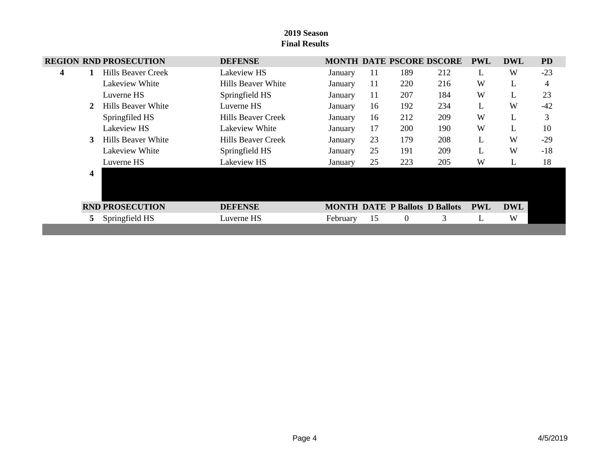|   | <b>REGION RND PROSECUTION</b> | <b>DEFENSE</b>     |          |    | <b>MONTH DATE PSCORE DSCORE</b>       |     | <b>PWL</b> | <b>DWL</b> | <b>PD</b> |
|---|-------------------------------|--------------------|----------|----|---------------------------------------|-----|------------|------------|-----------|
| 4 | Hills Beaver Creek            | Lakeview HS        | January  | 11 | 189                                   | 212 | L          | W          | $-23$     |
|   | Lakeview White                | Hills Beaver White | January  | 11 | 220                                   | 216 | W          | L          | 4         |
|   | Luverne HS                    | Springfield HS     | January  | 11 | 207                                   | 184 | W          | L          | 23        |
| 2 | Hills Beaver White            | Luverne HS         | January  | 16 | 192                                   | 234 | L          | W          | $-42$     |
|   | Springfiled HS                | Hills Beaver Creek | January  | 16 | 212                                   | 209 | W          | L          | 3         |
|   | Lakeview HS                   | Lakeview White     | January  | 17 | 200                                   | 190 | W          | L          | 10        |
| 3 | Hills Beaver White            | Hills Beaver Creek | January  | 23 | 179                                   | 208 | L          | W          | $-29$     |
|   | Lakeview White                | Springfield HS     | January  | 25 | 191                                   | 209 | L          | W          | $-18$     |
|   | Luverne HS                    | Lakeview HS        | January  | 25 | 223                                   | 205 | W          | L          | 18        |
| 4 |                               |                    |          |    |                                       |     |            |            |           |
|   | <b>RND PROSECUTION</b>        | <b>DEFENSE</b>     |          |    | <b>MONTH DATE P Ballots D Ballots</b> |     | <b>PWL</b> | <b>DWL</b> |           |
|   | Springfield HS                | Luverne HS         | February | 15 | $\theta$                              | 3   | L          | W          |           |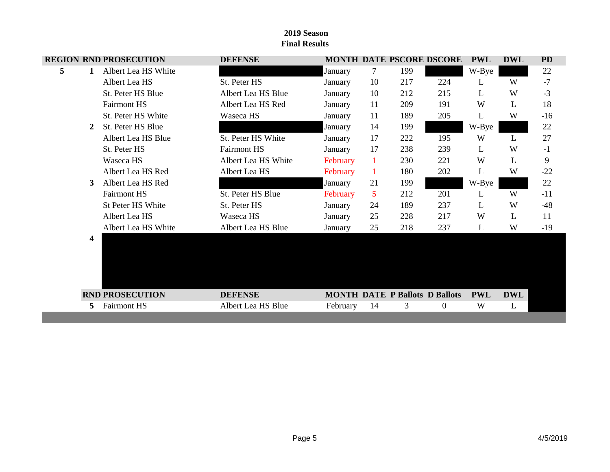|   |                         | <b>REGION RND PROSECUTION</b> | <b>DEFENSE</b>      |          |              |     | <b>MONTH DATE PSCORE DSCORE</b>       | <b>PWL</b> | <b>DWL</b>   | <b>PD</b> |
|---|-------------------------|-------------------------------|---------------------|----------|--------------|-----|---------------------------------------|------------|--------------|-----------|
| 5 | 1                       | Albert Lea HS White           |                     | January  | 7            | 199 |                                       | W-Bye      |              | 22        |
|   |                         | Albert Lea HS                 | St. Peter HS        | January  | 10           | 217 | 224                                   | L          | W            | $-7$      |
|   |                         | St. Peter HS Blue             | Albert Lea HS Blue  | January  | 10           | 212 | 215                                   | L          | W            | $-3$      |
|   |                         | <b>Fairmont HS</b>            | Albert Lea HS Red   | January  | 11           | 209 | 191                                   | W          | L            | 18        |
|   |                         | St. Peter HS White            | Waseca HS           | January  | 11           | 189 | 205                                   | L          | W            | $-16$     |
|   | 2                       | St. Peter HS Blue             |                     | January  | 14           | 199 |                                       | W-Bye      |              | 22        |
|   |                         | Albert Lea HS Blue            | St. Peter HS White  | January  | 17           | 222 | 195                                   | W          | $\mathbf{L}$ | 27        |
|   |                         | St. Peter HS                  | <b>Fairmont HS</b>  | January  | 17           | 238 | 239                                   | L          | W            | $-1$      |
|   |                         | Waseca HS                     | Albert Lea HS White | February | $\mathbf{1}$ | 230 | 221                                   | W          | L            | 9         |
|   |                         | Albert Lea HS Red             | Albert Lea HS       | February | 1            | 180 | 202                                   | L          | W            | $-22$     |
|   | 3                       | Albert Lea HS Red             |                     | January  | 21           | 199 |                                       | W-Bye      |              | 22        |
|   |                         | Fairmont HS                   | St. Peter HS Blue   | February | 5            | 212 | 201                                   | L          | W            | $-11$     |
|   |                         | St Peter HS White             | St. Peter HS        | January  | 24           | 189 | 237                                   | L          | W            | $-48$     |
|   |                         | Albert Lea HS                 | Waseca HS           | January  | 25           | 228 | 217                                   | W          | L            | 11        |
|   |                         | Albert Lea HS White           | Albert Lea HS Blue  | January  | 25           | 218 | 237                                   | L          | W            | $-19$     |
|   | $\overline{\mathbf{4}}$ |                               |                     |          |              |     |                                       |            |              |           |
|   |                         | <b>RND PROSECUTION</b>        | <b>DEFENSE</b>      |          |              |     | <b>MONTH DATE P Ballots D Ballots</b> | <b>PWL</b> | <b>DWL</b>   |           |
|   | 5                       | <b>Fairmont HS</b>            | Albert Lea HS Blue  | February | 14           | 3   | $\boldsymbol{0}$                      | W          | L            |           |
|   |                         |                               |                     |          |              |     |                                       |            |              |           |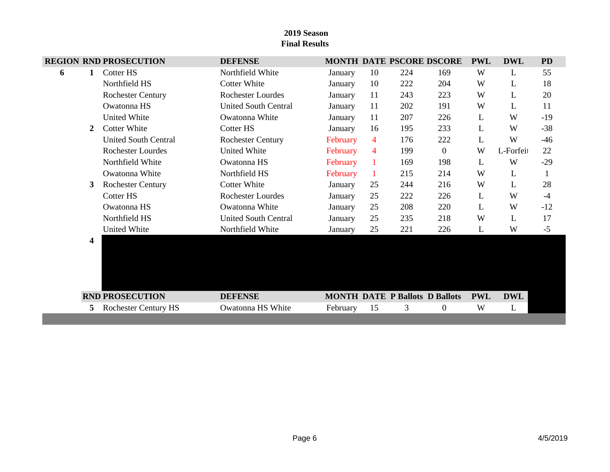# **REGION RND PROSECUTION DEFENSE MONTH DATE PSCORE DSCORE PWL DWL PD 6 1** Cotter HS Northfield White January 10 224 169 W L 55 Northfield HS Cotter White January 10 222 204 W L 18 Rochester Century **Rochester Lourdes** January 11 243 223 W L 20 Owatonna HS United South Central January 11 202 191 W L 11 United White Construction Owatonna White January 11 207 226 L W -19 2 Cotter White Cotter HS January 16 195 233 L W -38 United South Central Rochester Century February 4 176 222 L W -46 Rochester Lourdes United White February 4 199 0 W L-Forfeit 22 Northfield White Cowatonna HS February 1 169 198 L W -29 Owatonna White Northfield HS February 1 215 214 W L 1 **3** Rochester Century Cotter White January 25 244 216 W L 28 Cotter HS Rochester Lourdes January 25 222 226 L W -4 Owatonna HS Owatonna White January 25 208 220 L W -12 Northfield HS United South Central January 25 235 218 W L 17 United White Morthfield White January 25 221 226 L W -5  $4$ **RND PROSECUTION DEFENSE MONTH DATE P** Ballots **D** Ballots **PWL DWL 5** Rochester Century HS Owatonna HS White February 15 3 0 W L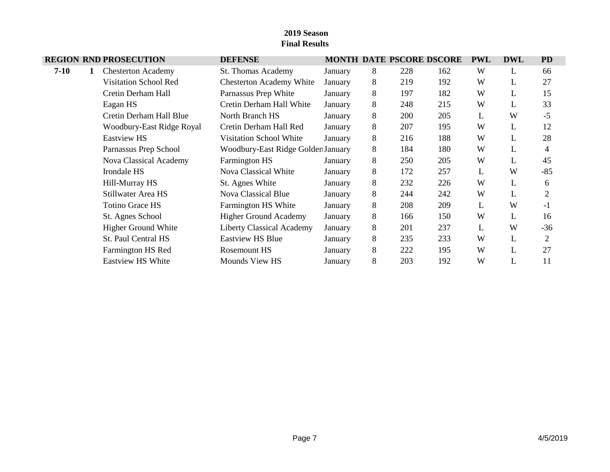|        |   | <b>REGION RND PROSECUTION</b> | <b>DEFENSE</b>                     |         |   |     | MONTH DATE PSCORE DSCORE | <b>PWL</b> | <b>DWL</b> | <b>PD</b>      |
|--------|---|-------------------------------|------------------------------------|---------|---|-----|--------------------------|------------|------------|----------------|
| $7-10$ | 1 | <b>Chesterton Academy</b>     | St. Thomas Academy                 | January | 8 | 228 | 162                      | W          | L          | 66             |
|        |   | <b>Visitation School Red</b>  | <b>Chesterton Academy White</b>    | January | 8 | 219 | 192                      | W          | L          | 27             |
|        |   | Cretin Derham Hall            | Parnassus Prep White               | January | 8 | 197 | 182                      | W          | L          | 15             |
|        |   | Eagan HS                      | Cretin Derham Hall White           | January | 8 | 248 | 215                      | W          | L          | 33             |
|        |   | Cretin Derham Hall Blue       | North Branch HS                    | January | 8 | 200 | 205                      | L          | W          | $-5$           |
|        |   | Woodbury-East Ridge Royal     | Cretin Derham Hall Red             | January | 8 | 207 | 195                      | W          | L          | 12             |
|        |   | <b>Eastview HS</b>            | Visitation School White            | January | 8 | 216 | 188                      | W          | L          | 28             |
|        |   | Parnassus Prep School         | Woodbury-East Ridge Golden January |         | 8 | 184 | 180                      | W          | L          | 4              |
|        |   | Nova Classical Academy        | <b>Farmington HS</b>               | January | 8 | 250 | 205                      | W          | L          | 45             |
|        |   | Irondale HS                   | Nova Classical White               | January | 8 | 172 | 257                      | L          | W          | $-85$          |
|        |   | Hill-Murray HS                | St. Agnes White                    | January | 8 | 232 | 226                      | W          | L          | 6              |
|        |   | Stillwater Area HS            | <b>Nova Classical Blue</b>         | January | 8 | 244 | 242                      | W          | L          | $\overline{2}$ |
|        |   | <b>Totino Grace HS</b>        | Farmington HS White                | January | 8 | 208 | 209                      | L          | W          | $-1$           |
|        |   | St. Agnes School              | <b>Higher Ground Academy</b>       | January | 8 | 166 | 150                      | W          | L          | 16             |
|        |   | <b>Higher Ground White</b>    | <b>Liberty Classical Academy</b>   | January | 8 | 201 | 237                      | L          | W          | $-36$          |
|        |   | St. Paul Central HS           | <b>Eastview HS Blue</b>            | January | 8 | 235 | 233                      | W          | L          | 2              |
|        |   | Farmington HS Red             | Rosemount HS                       | January | 8 | 222 | 195                      | W          | L          | 27             |
|        |   | <b>Eastview HS White</b>      | <b>Mounds View HS</b>              | January | 8 | 203 | 192                      | W          | L          | 11             |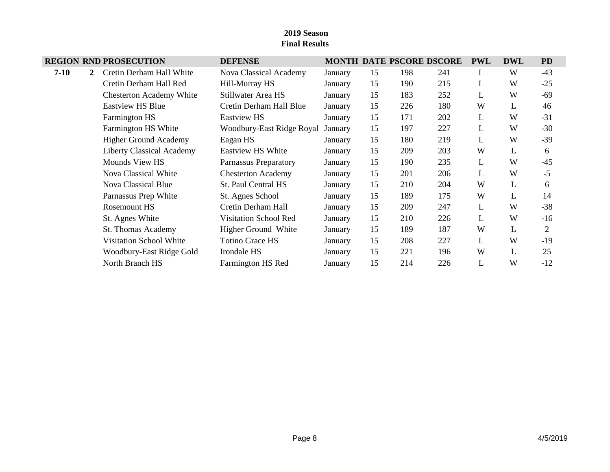|          |              | <b>REGION RND PROSECUTION</b>    | <b>DEFENSE</b>               |         |    |     | MONTH DATE PSCORE DSCORE | <b>PWL</b> | <b>DWL</b> | <b>PD</b>      |
|----------|--------------|----------------------------------|------------------------------|---------|----|-----|--------------------------|------------|------------|----------------|
| $7 - 10$ | $\mathbf{2}$ | Cretin Derham Hall White         | Nova Classical Academy       | January | 15 | 198 | 241                      | L          | W          | $-43$          |
|          |              | Cretin Derham Hall Red           | Hill-Murray HS               | January | 15 | 190 | 215                      | L          | W          | $-25$          |
|          |              | <b>Chesterton Academy White</b>  | Stillwater Area HS           | January | 15 | 183 | 252                      | L          | W          | $-69$          |
|          |              | <b>Eastview HS Blue</b>          | Cretin Derham Hall Blue      | January | 15 | 226 | 180                      | W          | L          | 46             |
|          |              | Farmington HS                    | <b>Eastview HS</b>           | January | 15 | 171 | 202                      | L          | W          | $-31$          |
|          |              | Farmington HS White              | Woodbury-East Ridge Royal    | January | 15 | 197 | 227                      | L          | W          | $-30$          |
|          |              | <b>Higher Ground Academy</b>     | Eagan HS                     | January | 15 | 180 | 219                      | L          | W          | $-39$          |
|          |              | <b>Liberty Classical Academy</b> | <b>Eastview HS White</b>     | January | 15 | 209 | 203                      | W          | L          | 6              |
|          |              | Mounds View HS                   | Parnassus Preparatory        | January | 15 | 190 | 235                      | L          | W          | $-45$          |
|          |              | Nova Classical White             | <b>Chesterton Academy</b>    | January | 15 | 201 | 206                      | L          | W          | $-5$           |
|          |              | Nova Classical Blue              | St. Paul Central HS          | January | 15 | 210 | 204                      | W          | L          | 6              |
|          |              | Parnassus Prep White             | St. Agnes School             | January | 15 | 189 | 175                      | W          | L          | 14             |
|          |              | Rosemount HS                     | Cretin Derham Hall           | January | 15 | 209 | 247                      | L          | W          | $-38$          |
|          |              | St. Agnes White                  | <b>Visitation School Red</b> | January | 15 | 210 | 226                      | L          | W          | $-16$          |
|          |              | St. Thomas Academy               | Higher Ground White          | January | 15 | 189 | 187                      | W          | L          | $\overline{2}$ |
|          |              | <b>Visitation School White</b>   | <b>Totino Grace HS</b>       | January | 15 | 208 | 227                      | L          | W          | $-19$          |
|          |              | Woodbury-East Ridge Gold         | Irondale HS                  | January | 15 | 221 | 196                      | W          | L          | 25             |
|          |              | North Branch HS                  | Farmington HS Red            | January | 15 | 214 | 226                      | L          | W          | $-12$          |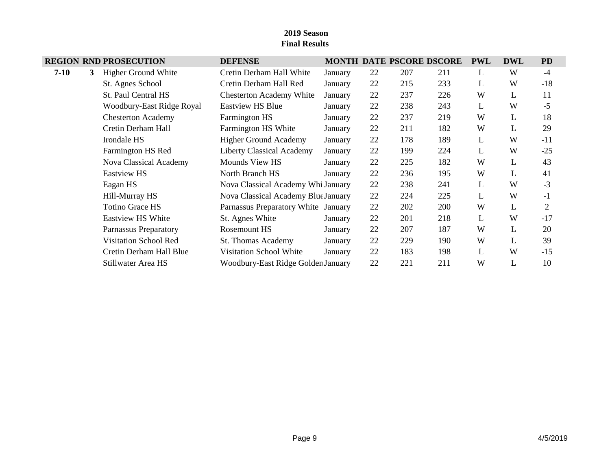|        |   | <b>REGION RND PROSECUTION</b> | <b>DEFENSE</b>                      |         |    |     | MONTH DATE PSCORE DSCORE | <b>PWL</b> | <b>DWL</b> | <b>PD</b>      |
|--------|---|-------------------------------|-------------------------------------|---------|----|-----|--------------------------|------------|------------|----------------|
| $7-10$ | 3 | <b>Higher Ground White</b>    | Cretin Derham Hall White            | January | 22 | 207 | 211                      | L          | W          | $-4$           |
|        |   | St. Agnes School              | Cretin Derham Hall Red              | January | 22 | 215 | 233                      | L          | W          | $-18$          |
|        |   | St. Paul Central HS           | <b>Chesterton Academy White</b>     | January | 22 | 237 | 226                      | W          | L          | 11             |
|        |   | Woodbury-East Ridge Royal     | <b>Eastview HS Blue</b>             | January | 22 | 238 | 243                      | L          | W          | $-5$           |
|        |   | <b>Chesterton Academy</b>     | <b>Farmington HS</b>                | January | 22 | 237 | 219                      | W          | L          | 18             |
|        |   | Cretin Derham Hall            | Farmington HS White                 | January | 22 | 211 | 182                      | W          | L          | 29             |
|        |   | Irondale HS                   | <b>Higher Ground Academy</b>        | January | 22 | 178 | 189                      | L          | W          | $-11$          |
|        |   | Farmington HS Red             | <b>Liberty Classical Academy</b>    | January | 22 | 199 | 224                      | L          | W          | $-25$          |
|        |   | Nova Classical Academy        | Mounds View HS                      | January | 22 | 225 | 182                      | W          | L          | 43             |
|        |   | <b>Eastview HS</b>            | North Branch HS                     | January | 22 | 236 | 195                      | W          | L          | 41             |
|        |   | Eagan HS                      | Nova Classical Academy Whi January  |         | 22 | 238 | 241                      | L          | W          | $-3$           |
|        |   | Hill-Murray HS                | Nova Classical Academy Blue January |         | 22 | 224 | 225                      | L          | W          | $-1$           |
|        |   | <b>Totino Grace HS</b>        | Parnassus Preparatory White January |         | 22 | 202 | 200                      | W          | L          | $\overline{2}$ |
|        |   | <b>Eastview HS White</b>      | St. Agnes White                     | January | 22 | 201 | 218                      | L          | W          | $-17$          |
|        |   | Parnassus Preparatory         | Rosemount HS                        | January | 22 | 207 | 187                      | W          | L          | 20             |
|        |   | <b>Visitation School Red</b>  | St. Thomas Academy                  | January | 22 | 229 | 190                      | W          | L          | 39             |
|        |   | Cretin Derham Hall Blue       | <b>Visitation School White</b>      | January | 22 | 183 | 198                      | L          | W          | $-15$          |
|        |   | Stillwater Area HS            | Woodbury-East Ridge Golden January  |         | 22 | 221 | 211                      | W          |            | 10             |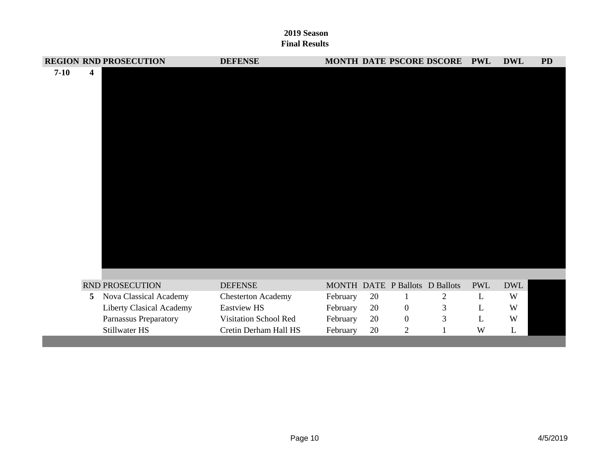|          |   | <b>REGION RND PROSECUTION</b> | <b>DEFENSE</b>            |          |    |                | MONTH DATE PSCORE DSCORE PWL   |            | <b>DWL</b> | <b>PD</b> |
|----------|---|-------------------------------|---------------------------|----------|----|----------------|--------------------------------|------------|------------|-----------|
| $7 - 10$ | 4 |                               |                           |          |    |                |                                |            |            |           |
|          |   |                               |                           |          |    |                |                                |            |            |           |
|          |   | RND PROSECUTION               | <b>DEFENSE</b>            |          |    |                | MONTH DATE P Ballots D Ballots | <b>PWL</b> | <b>DWL</b> |           |
|          | 5 | Nova Classical Academy        | <b>Chesterton Academy</b> | February | 20 | $\mathbf{1}$   | 2                              | L          | W          |           |
|          |   | Liberty Clasical Academy      | Eastview HS               | February | 20 | $\overline{0}$ | 3                              | L          | W          |           |
|          |   | Parnassus Preparatory         | Visitation School Red     | February | 20 | $\mathbf{0}$   | 3                              | L          | W          |           |
|          |   | Stillwater HS                 | Cretin Derham Hall HS     | February | 20 | $\overline{2}$ |                                | W          | L          |           |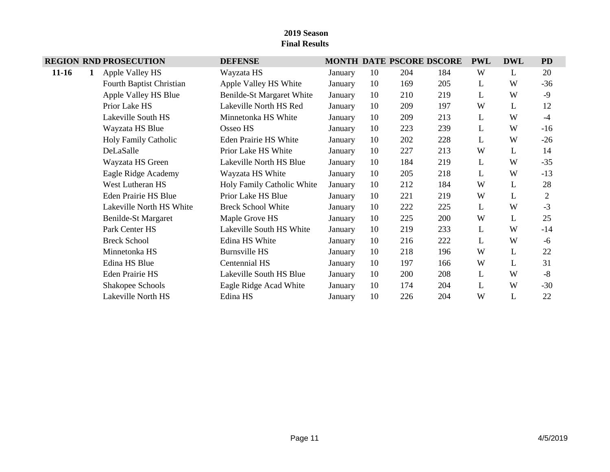|           |   | <b>REGION RND PROSECUTION</b> | <b>DEFENSE</b>               |         |    |     | MONTH DATE PSCORE DSCORE | <b>PWL</b> | <b>DWL</b> | <b>PD</b>      |
|-----------|---|-------------------------------|------------------------------|---------|----|-----|--------------------------|------------|------------|----------------|
| $11 - 16$ | 1 | Apple Valley HS               | Wayzata HS                   | January | 10 | 204 | 184                      | W          | L          | 20             |
|           |   | Fourth Baptist Christian      | Apple Valley HS White        | January | 10 | 169 | 205                      | L          | W          | $-36$          |
|           |   | Apple Valley HS Blue          | Benilde-St Margaret White    | January | 10 | 210 | 219                      | L          | W          | $-9$           |
|           |   | Prior Lake HS                 | Lakeville North HS Red       | January | 10 | 209 | 197                      | W          | L          | 12             |
|           |   | Lakeville South HS            | Minnetonka HS White          | January | 10 | 209 | 213                      | L          | W          | $-4$           |
|           |   | Wayzata HS Blue               | Osseo HS                     | January | 10 | 223 | 239                      | L          | W          | $-16$          |
|           |   | <b>Holy Family Catholic</b>   | <b>Eden Prairie HS White</b> | January | 10 | 202 | 228                      | L          | W          | $-26$          |
|           |   | DeLaSalle                     | Prior Lake HS White          | January | 10 | 227 | 213                      | W          | L          | 14             |
|           |   | Wayzata HS Green              | Lakeville North HS Blue      | January | 10 | 184 | 219                      | L          | W          | $-35$          |
|           |   | Eagle Ridge Academy           | Wayzata HS White             | January | 10 | 205 | 218                      | L          | W          | $-13$          |
|           |   | West Lutheran HS              | Holy Family Catholic White   | January | 10 | 212 | 184                      | W          | L          | 28             |
|           |   | Eden Prairie HS Blue          | Prior Lake HS Blue           | January | 10 | 221 | 219                      | W          | L          | $\overline{2}$ |
|           |   | Lakeville North HS White      | <b>Breck School White</b>    | January | 10 | 222 | 225                      | L          | W          | $-3$           |
|           |   | Benilde-St Margaret           | Maple Grove HS               | January | 10 | 225 | 200                      | W          | L          | 25             |
|           |   | Park Center HS                | Lakeville South HS White     | January | 10 | 219 | 233                      | L          | W          | $-14$          |
|           |   | <b>Breck School</b>           | Edina HS White               | January | 10 | 216 | 222                      | L          | W          | $-6$           |
|           |   | Minnetonka HS                 | <b>Burnsville HS</b>         | January | 10 | 218 | 196                      | W          | L          | 22             |
|           |   | Edina HS Blue                 | Centennial HS                | January | 10 | 197 | 166                      | W          | L          | 31             |
|           |   | <b>Eden Prairie HS</b>        | Lakeville South HS Blue      | January | 10 | 200 | 208                      | L          | W          | $-8$           |
|           |   | Shakopee Schools              | Eagle Ridge Acad White       | January | 10 | 174 | 204                      | L          | W          | $-30$          |
|           |   | Lakeville North HS            | Edina HS                     | January | 10 | 226 | 204                      | W          | L          | 22             |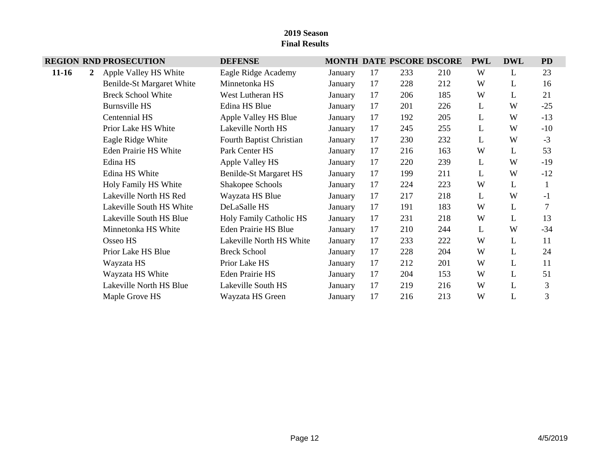# **REGION RND PROSECUTION DEFENSE MONTH DATE PSCORE DSCORE PWL DWL PD 11-16 2** Apple Valley HS White Eagle Ridge Academy January 17 233 210 W L 23 Benilde-St Margaret White Minnetonka HS January 17 228 212 W L 16 Breck School White West Lutheran HS January 17 206 185 W L 21 Burnsville HS **Edina HS Blue** January 17 201 226 L W -25 Centennial HS Apple Valley HS Blue January 17 192 205 L W -13 Prior Lake HS White Lakeville North HS January 17 245 255 L W -10 Eagle Ridge White Fourth Baptist Christian January 17 230 232 L W -3 Eden Prairie HS White Park Center HS January 17 216 163 W L 53 Edina HS Apple Valley HS January 17 220 239 L W -19 Edina HS White Benilde-St Margaret HS January 17 199 211 L W -12 Holy Family HS White Shakopee Schools January 17 224 223 W L 1 Lakeville North HS Red Wayzata HS Blue January 17 217 218 L W -1 Lakeville South HS White DeLaSalle HS January 17 191 183 W L 7 Lakeville South HS Blue Holy Family Catholic HS January 17 231 218 W L 13 Minnetonka HS White Eden Prairie HS Blue January 17 210 244 L W -34 Osseo HS Lakeville North HS White January 17 233 222 W L 11 Prior Lake HS Blue Breck School January 17 228 204 W L 24 Wayzata HS **Prior Lake HS** January 17 212 201 W L 11 Wayzata HS White Eden Prairie HS January 17 204 153 W L 51 Lakeville North HS Blue Lakeville South HS January 17 219 216 W L 3 Maple Grove HS Wayzata HS Green January 17 216 213 W L 3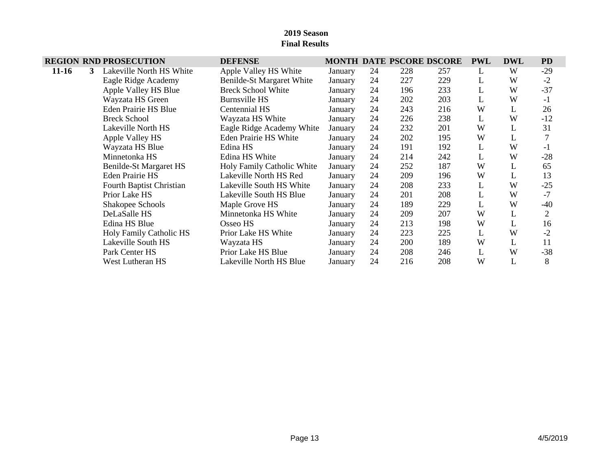|           |   | <b>REGION RND PROSECUTION</b>   | <b>DEFENSE</b>             |         |    |     | <b>MONTH DATE PSCORE DSCORE</b> | <b>PWL</b> | <b>DWL</b> | <b>PD</b>      |
|-----------|---|---------------------------------|----------------------------|---------|----|-----|---------------------------------|------------|------------|----------------|
| $11 - 16$ | 3 | Lakeville North HS White        | Apple Valley HS White      | January | 24 | 228 | 257                             | L          | W          | $-29$          |
|           |   | Eagle Ridge Academy             | Benilde-St Margaret White  | January | 24 | 227 | 229                             | L          | W          | $-2$           |
|           |   | Apple Valley HS Blue            | <b>Breck School White</b>  | January | 24 | 196 | 233                             | L          | W          | $-37$          |
|           |   | Wayzata HS Green                | <b>Burnsville HS</b>       | January | 24 | 202 | 203                             | L          | W          | $-1$           |
|           |   | <b>Eden Prairie HS Blue</b>     | Centennial HS              | January | 24 | 243 | 216                             | W          | L          | 26             |
|           |   | <b>Breck School</b>             | Wayzata HS White           | January | 24 | 226 | 238                             | L          | W          | $-12$          |
|           |   | Lakeville North HS              | Eagle Ridge Academy White  | January | 24 | 232 | 201                             | W          |            | 31             |
|           |   | Apple Valley HS                 | Eden Prairie HS White      | January | 24 | 202 | 195                             | W          | L          |                |
|           |   | Wayzata HS Blue                 | Edina HS                   | January | 24 | 191 | 192                             | L          | W          | $-1$           |
|           |   | Minnetonka HS                   | Edina HS White             | January | 24 | 214 | 242                             | L          | W          | $-28$          |
|           |   | Benilde-St Margaret HS          | Holy Family Catholic White | January | 24 | 252 | 187                             | W          | L          | 65             |
|           |   | Eden Prairie HS                 | Lakeville North HS Red     | January | 24 | 209 | 196                             | W          | L          | 13             |
|           |   | <b>Fourth Baptist Christian</b> | Lakeville South HS White   | January | 24 | 208 | 233                             | L          | W          | $-25$          |
|           |   | Prior Lake HS                   | Lakeville South HS Blue    | January | 24 | 201 | 208                             | L          | W          | $-7$           |
|           |   | Shakopee Schools                | Maple Grove HS             | January | 24 | 189 | 229                             | L          | W          | $-40$          |
|           |   | DeLaSalle HS                    | Minnetonka HS White        | January | 24 | 209 | 207                             | W          |            | $\overline{2}$ |
|           |   | Edina HS Blue                   | Osseo HS                   | January | 24 | 213 | 198                             | W          | L          | 16             |
|           |   | Holy Family Catholic HS         | Prior Lake HS White        | January | 24 | 223 | 225                             | L          | W          | $-2$           |
|           |   | Lakeville South HS              | Wayzata HS                 | January | 24 | 200 | 189                             | W          |            | 11             |
|           |   | Park Center HS                  | Prior Lake HS Blue         | January | 24 | 208 | 246                             | L          | W          | $-38$          |
|           |   | West Lutheran HS                | Lakeville North HS Blue    | January | 24 | 216 | 208                             | W          |            | 8              |